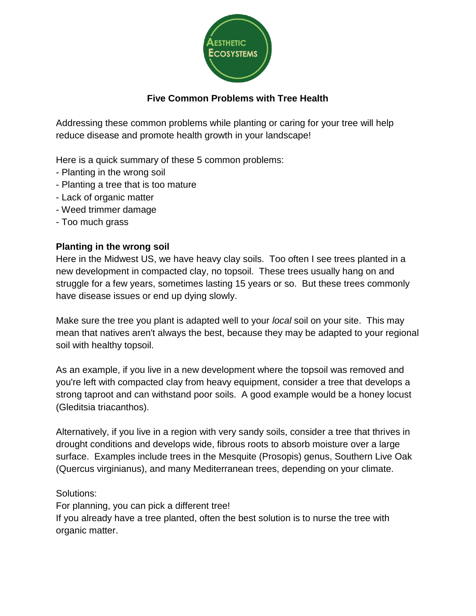

# **Five Common Problems with Tree Health**

Addressing these common problems while planting or caring for your tree will help reduce disease and promote health growth in your landscape!

Here is a quick summary of these 5 common problems:

- Planting in the wrong soil
- Planting a tree that is too mature
- Lack of organic matter
- Weed trimmer damage
- Too much grass

## **Planting in the wrong soil**

Here in the Midwest US, we have heavy clay soils. Too often I see trees planted in a new development in compacted clay, no topsoil. These trees usually hang on and struggle for a few years, sometimes lasting 15 years or so. But these trees commonly have disease issues or end up dying slowly.

Make sure the tree you plant is adapted well to your *local* soil on your site. This may mean that natives aren't always the best, because they may be adapted to your regional soil with healthy topsoil.

As an example, if you live in a new development where the topsoil was removed and you're left with compacted clay from heavy equipment, consider a tree that develops a strong taproot and can withstand poor soils. A good example would be a honey locust (Gleditsia triacanthos).

Alternatively, if you live in a region with very sandy soils, consider a tree that thrives in drought conditions and develops wide, fibrous roots to absorb moisture over a large surface. Examples include trees in the Mesquite (Prosopis) genus, Southern Live Oak (Quercus virginianus), and many Mediterranean trees, depending on your climate.

#### Solutions:

For planning, you can pick a different tree! If you already have a tree planted, often the best solution is to nurse the tree with organic matter.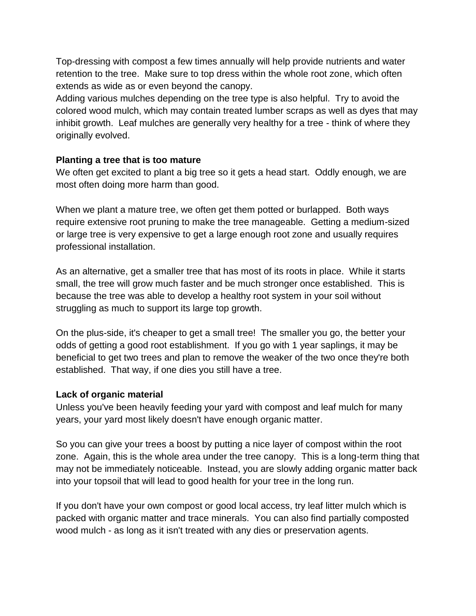Top-dressing with compost a few times annually will help provide nutrients and water retention to the tree. Make sure to top dress within the whole root zone, which often extends as wide as or even beyond the canopy.

Adding various mulches depending on the tree type is also helpful. Try to avoid the colored wood mulch, which may contain treated lumber scraps as well as dyes that may inhibit growth. Leaf mulches are generally very healthy for a tree - think of where they originally evolved.

#### **Planting a tree that is too mature**

We often get excited to plant a big tree so it gets a head start. Oddly enough, we are most often doing more harm than good.

When we plant a mature tree, we often get them potted or burlapped. Both ways require extensive root pruning to make the tree manageable. Getting a medium-sized or large tree is very expensive to get a large enough root zone and usually requires professional installation.

As an alternative, get a smaller tree that has most of its roots in place. While it starts small, the tree will grow much faster and be much stronger once established. This is because the tree was able to develop a healthy root system in your soil without struggling as much to support its large top growth.

On the plus-side, it's cheaper to get a small tree! The smaller you go, the better your odds of getting a good root establishment. If you go with 1 year saplings, it may be beneficial to get two trees and plan to remove the weaker of the two once they're both established. That way, if one dies you still have a tree.

#### **Lack of organic material**

Unless you've been heavily feeding your yard with compost and leaf mulch for many years, your yard most likely doesn't have enough organic matter.

So you can give your trees a boost by putting a nice layer of compost within the root zone. Again, this is the whole area under the tree canopy. This is a long-term thing that may not be immediately noticeable. Instead, you are slowly adding organic matter back into your topsoil that will lead to good health for your tree in the long run.

If you don't have your own compost or good local access, try leaf litter mulch which is packed with organic matter and trace minerals. You can also find partially composted wood mulch - as long as it isn't treated with any dies or preservation agents.